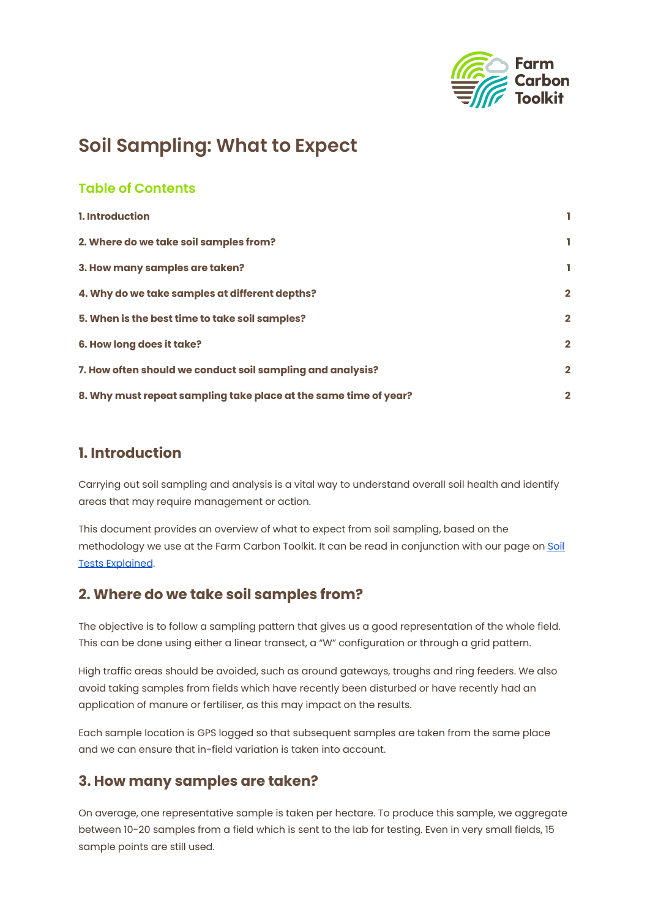

# **Soil Sampling: What to Expect**

#### **Table of Contents**

| 1. Introduction                                                  |              |
|------------------------------------------------------------------|--------------|
| 2. Where do we take soil samples from?                           | ı            |
| 3. How many samples are taken?                                   |              |
| 4. Why do we take samples at different depths?                   | $\mathbf{2}$ |
| 5. When is the best time to take soil samples?                   | $\mathbf{2}$ |
| <b>6. How long does it take?</b>                                 | $\mathbf{2}$ |
| 7. How often should we conduct soil sampling and analysis?       | $\mathbf{2}$ |
| 8. Why must repeat sampling take place at the same time of year? | $\mathbf{2}$ |

#### <span id="page-0-0"></span>**1. Introduction**

Carrying out soil sampling and analysis is a vital way to understand overall soil health and identify areas that may require management or action.

This document provides an overview of what to expect from soil sampling, based on the methodology we use at the Farm Carbon Toolkit. It can be read in conjunction with our page on [Soil](https://farmcarbontoolkit.org.uk/toolkit-page/measuring-soil-health/) Tests [Explained](https://farmcarbontoolkit.org.uk/toolkit-page/measuring-soil-health/).

### <span id="page-0-1"></span>**2. Where do we take soil samples from?**

The objective is to follow a sampling pattern that gives us a good representation of the whole field. This can be done using either a linear transect, a "W" configuration or through a grid pattern.

High traffic areas should be avoided, such as around gateways, troughs and ring feeders. We also avoid taking samples from fields which have recently been disturbed or have recently had an application of manure or fertiliser, as this may impact on the results.

Each sample location is GPS logged so that subsequent samples are taken from the same place and we can ensure that in-field variation is taken into account.

#### <span id="page-0-2"></span>**3. How many samples are taken?**

On average, one representative sample is taken per hectare. To produce this sample, we aggregate between 10-20 samples from a field which is sent to the lab for testing. Even in very small fields, 15 sample points are still used.